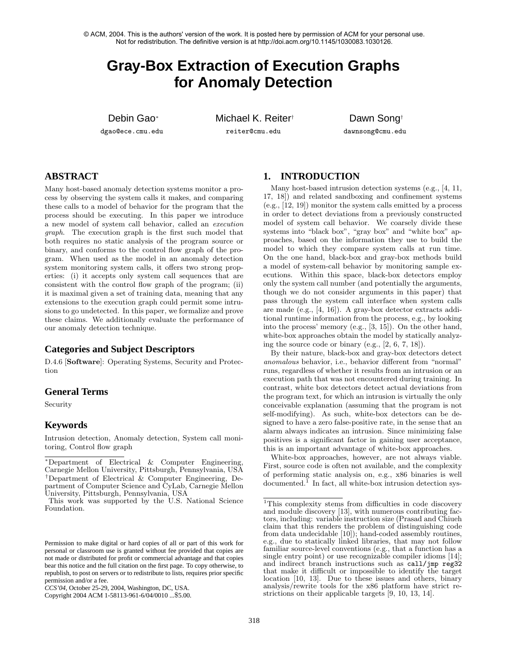© ACM, 2004. This is the authors' version of the work. It is posted here by permission of ACM for your personal use. Not for redistribution. The definitive version is at http://doi.acm.org/10.1145/1030083.1030126.

# **Gray-Box Extraction of Execution Graphs for Anomaly Detection**

Debin Gao<sup>∗</sup>

Michael K. Reiter†

Dawn Song†

dgao@ece.cmu.edu

reiter@cmu.edu

dawnsong@cmu.edu

# **ABSTRACT**

Many host-based anomaly detection systems monitor a process by observing the system calls it makes, and comparing these calls to a model of behavior for the program that the process should be executing. In this paper we introduce a new model of system call behavior, called an execution graph. The execution graph is the first such model that both requires no static analysis of the program source or binary, and conforms to the control flow graph of the program. When used as the model in an anomaly detection system monitoring system calls, it offers two strong properties: (i) it accepts only system call sequences that are consistent with the control flow graph of the program; (ii) it is maximal given a set of training data, meaning that any extensions to the execution graph could permit some intrusions to go undetected. In this paper, we formalize and prove these claims. We additionally evaluate the performance of our anomaly detection technique.

## **Categories and Subject Descriptors**

D.4.6 [**Software**]: Operating Systems, Security and Protection

### **General Terms**

Security

### **Keywords**

Intrusion detection, Anomaly detection, System call monitoring, Control flow graph

### **1. INTRODUCTION**

Many host-based intrusion detection systems (e.g., [4, 11, 17, 18]) and related sandboxing and confinement systems (e.g., [12, 19]) monitor the system calls emitted by a process in order to detect deviations from a previously constructed model of system call behavior. We coarsely divide these systems into "black box", "gray box" and "white box" approaches, based on the information they use to build the model to which they compare system calls at run time. On the one hand, black-box and gray-box methods build a model of system-call behavior by monitoring sample executions. Within this space, black-box detectors employ only the system call number (and potentially the arguments, though we do not consider arguments in this paper) that pass through the system call interface when system calls are made (e.g., [4, 16]). A gray-box detector extracts additional runtime information from the process, e.g., by looking into the process' memory (e.g., [3, 15]). On the other hand, white-box approaches obtain the model by statically analyzing the source code or binary (e.g.,  $[2, 6, 7, 18]$ ).

By their nature, black-box and gray-box detectors detect anomalous behavior, i.e., behavior different from "normal" runs, regardless of whether it results from an intrusion or an execution path that was not encountered during training. In contrast, white box detectors detect actual deviations from the program text, for which an intrusion is virtually the only conceivable explanation (assuming that the program is not self-modifying). As such, white-box detectors can be designed to have a zero false-positive rate, in the sense that an alarm always indicates an intrusion. Since minimizing false positives is a significant factor in gaining user acceptance, this is an important advantage of white-box approaches.

White-box approaches, however, are not always viable. First, source code is often not available, and the complexity of performing static analysis on, e.g., x86 binaries is well  $documented.<sup>1</sup>$  In fact, all white-box intrusion detection sys-

<sup>∗</sup>Department of Electrical & Computer Engineering, Carnegie Mellon University, Pittsburgh, Pennsylvania, USA †Department of Electrical & Computer Engineering, Department of Computer Science and CyLab, Carnegie Mellon University, Pittsburgh, Pennsylvania, USA

This work was supported by the U.S. National Science Foundation.

Permission to make digital or hard copies of all or part of this work for personal or classroom use is granted without fee provided that copies are not made or distributed for profit or commercial advantage and that copies bear this notice and the full citation on the first page. To copy otherwise, to republish, to post on servers or to redistribute to lists, requires prior specific permission and/or a fee.

*CCS'04,* October 25-29, 2004, Washington, DC, USA.

Copyright 2004 ACM 1-58113-961-6/04/0010 ...\$5.00.

 $1$ This complexity stems from difficulties in code discovery and module discovery [13], with numerous contributing factors, including: variable instruction size (Prasad and Chiueh claim that this renders the problem of distinguishing code from data undecidable [10]); hand-coded assembly routines, e.g., due to statically linked libraries, that may not follow familiar source-level conventions (e.g., that a function has a single entry point) or use recognizable compiler idioms [14]; and indirect branch instructions such as call/jmp reg32 that make it difficult or impossible to identify the target location [10, 13]. Due to these issues and others, binary analysis/rewrite tools for the x86 platform have strict restrictions on their applicable targets [9, 10, 13, 14].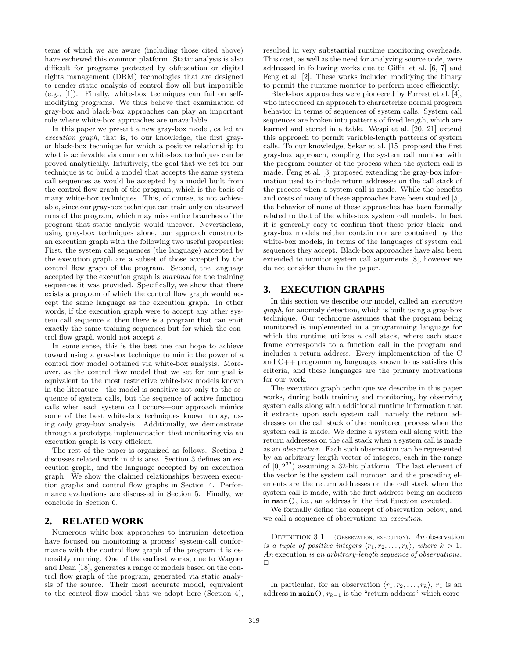tems of which we are aware (including those cited above) have eschewed this common platform. Static analysis is also difficult for programs protected by obfuscation or digital rights management (DRM) technologies that are designed to render static analysis of control flow all but impossible (e.g., [1]). Finally, white-box techniques can fail on selfmodifying programs. We thus believe that examination of gray-box and black-box approaches can play an important role where white-box approaches are unavailable.

In this paper we present a new gray-box model, called an execution graph, that is, to our knowledge, the first grayor black-box technique for which a positive relationship to what is achievable via common white-box techniques can be proved analytically. Intuitively, the goal that we set for our technique is to build a model that accepts the same system call sequences as would be accepted by a model built from the control flow graph of the program, which is the basis of many white-box techniques. This, of course, is not achievable, since our gray-box technique can train only on observed runs of the program, which may miss entire branches of the program that static analysis would uncover. Nevertheless, using gray-box techniques alone, our approach constructs an execution graph with the following two useful properties: First, the system call sequences (the language) accepted by the execution graph are a subset of those accepted by the control flow graph of the program. Second, the language accepted by the execution graph is maximal for the training sequences it was provided. Specifically, we show that there exists a program of which the control flow graph would accept the same language as the execution graph. In other words, if the execution graph were to accept any other system call sequence s, then there is a program that can emit exactly the same training sequences but for which the control flow graph would not accept s.

In some sense, this is the best one can hope to achieve toward using a gray-box technique to mimic the power of a control flow model obtained via white-box analysis. Moreover, as the control flow model that we set for our goal is equivalent to the most restrictive white-box models known in the literature—the model is sensitive not only to the sequence of system calls, but the sequence of active function calls when each system call occurs—our approach mimics some of the best white-box techniques known today, using only gray-box analysis. Additionally, we demonstrate through a prototype implementation that monitoring via an execution graph is very efficient.

The rest of the paper is organized as follows. Section 2 discusses related work in this area. Section 3 defines an execution graph, and the language accepted by an execution graph. We show the claimed relationships between execution graphs and control flow graphs in Section 4. Performance evaluations are discussed in Section 5. Finally, we conclude in Section 6.

## **2. RELATED WORK**

Numerous white-box approaches to intrusion detection have focused on monitoring a process' system-call conformance with the control flow graph of the program it is ostensibly running. One of the earliest works, due to Wagner and Dean [18], generates a range of models based on the control flow graph of the program, generated via static analysis of the source. Their most accurate model, equivalent to the control flow model that we adopt here (Section 4), resulted in very substantial runtime monitoring overheads. This cost, as well as the need for analyzing source code, were addressed in following works due to Giffin et al. [6, 7] and Feng et al. [2]. These works included modifying the binary to permit the runtime monitor to perform more efficiently.

Black-box approaches were pioneered by Forrest et al. [4], who introduced an approach to characterize normal program behavior in terms of sequences of system calls. System call sequences are broken into patterns of fixed length, which are learned and stored in a table. Wespi et al. [20, 21] extend this approach to permit variable-length patterns of system calls. To our knowledge, Sekar et al. [15] proposed the first gray-box approach, coupling the system call number with the program counter of the process when the system call is made. Feng et al. [3] proposed extending the gray-box information used to include return addresses on the call stack of the process when a system call is made. While the benefits and costs of many of these approaches have been studied [5], the behavior of none of these approaches has been formally related to that of the white-box system call models. In fact it is generally easy to confirm that these prior black- and gray-box models neither contain nor are contained by the white-box models, in terms of the languages of system call sequences they accept. Black-box approaches have also been extended to monitor system call arguments [8], however we do not consider them in the paper.

### **3. EXECUTION GRAPHS**

In this section we describe our model, called an execution graph, for anomaly detection, which is built using a gray-box technique. Our technique assumes that the program being monitored is implemented in a programming language for which the runtime utilizes a call stack, where each stack frame corresponds to a function call in the program and includes a return address. Every implementation of the C and C++ programming languages known to us satisfies this criteria, and these languages are the primary motivations for our work.

The execution graph technique we describe in this paper works, during both training and monitoring, by observing system calls along with additional runtime information that it extracts upon each system call, namely the return addresses on the call stack of the monitored process when the system call is made. We define a system call along with the return addresses on the call stack when a system call is made as an observation. Each such observation can be represented by an arbitrary-length vector of integers, each in the range of  $[0, 2^{32})$  assuming a 32-bit platform. The last element of the vector is the system call number, and the preceding elements are the return addresses on the call stack when the system call is made, with the first address being an address in main(), i.e., an address in the first function executed.

We formally define the concept of observation below, and we call a sequence of observations an execution.

DEFINITION  $3.1$  (Observation, execution). An observation is a tuple of positive integers  $\langle r_1, r_2, \ldots, r_k \rangle$ , where  $k > 1$ . An execution is an arbitrary-length sequence of observations.  $\Box$ 

In particular, for an observation  $\langle r_1, r_2,\ldots,r_k\rangle$ ,  $r_1$  is an address in main(),  $r_{k-1}$  is the "return address" which corre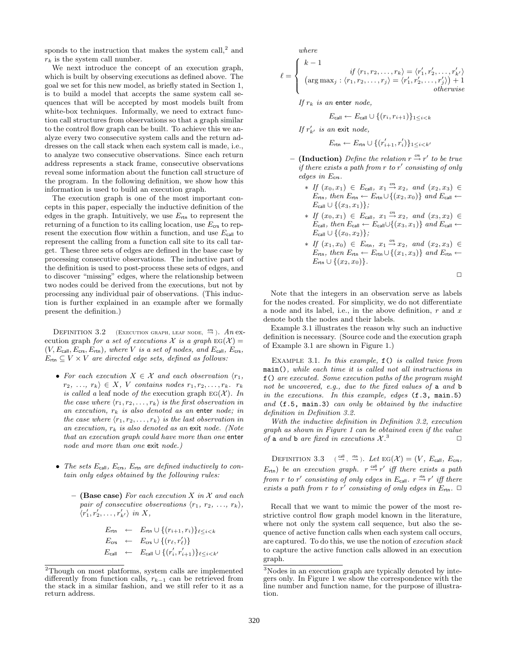sponds to the instruction that makes the system call, $^2$  and  $r_k$  is the system call number.

We next introduce the concept of an execution graph, which is built by observing executions as defined above. The goal we set for this new model, as briefly stated in Section 1, is to build a model that accepts the same system call sequences that will be accepted by most models built from white-box techniques. Informally, we need to extract function call structures from observations so that a graph similar to the control flow graph can be built. To achieve this we analyze every two consecutive system calls and the return addresses on the call stack when each system call is made, i.e., to analyze two consecutive observations. Since each return address represents a stack frame, consecutive observations reveal some information about the function call structure of the program. In the following definition, we show how this information is used to build an execution graph.

The execution graph is one of the most important concepts in this paper, especially the inductive definition of the edges in the graph. Intuitively, we use  $E_{\text{rtn}}$  to represent the returning of a function to its calling location, use  $E_{\text{crs}}$  to represent the execution flow within a function, and use  $E_{\text{call}}$  to represent the calling from a function call site to its call target. These three sets of edges are defined in the base case by processing consecutive observations. The inductive part of the definition is used to post-process these sets of edges, and to discover "missing" edges, where the relationship between two nodes could be derived from the executions, but not by processing any individual pair of observations. (This induction is further explained in an example after we formally present the definition.)

DEFINITION 3.2 (EXECUTION GRAPH, LEAF NODE,  $\stackrel{\text{crs}}{\rightarrow}$ ). An execution graph for a set of executions X is a graph  $EG(X) =$  $(V, E_{\text{call}}, E_{\text{crs}}, E_{\text{rtn}}),$  where V is a set of nodes, and  $E_{\text{call}}, E_{\text{crs}},$  $E_{\text{rtn}} \subseteq V \times V$  are directed edge sets, defined as follows:

- For each execution  $X \in \mathcal{X}$  and each observation  $\langle r_1, r_2 \rangle$  $r_2, \ldots, r_k \rangle \in X, V$  contains nodes  $r_1, r_2, \ldots, r_k$ .  $r_k$ is called a leaf node of the execution graph  $EG(X)$ . In the case where  $\langle r_1, r_2, \ldots, r_k \rangle$  is the first observation in an execution,  $r_k$  is also denoted as an enter node; in the case where  $\langle r_1, r_2, \ldots, r_k \rangle$  is the last observation in an execution,  $r_k$  is also denoted as an exit node. (Note that an execution graph could have more than one enter node and more than one exit node.)
- The sets  $E_{\text{call}}$ ,  $E_{\text{crs}}$ ,  $E_{\text{rtn}}$  are defined inductively to contain only edges obtained by the following rules:
	- $-$  **(Base case)** For each execution X in X and each pair of consecutive observations  $\langle r_1, r_2, \ldots, r_k \rangle$ ,  $\langle r'_1, r'_2, \ldots, r'_{k'} \rangle$  in X,

$$
E_{\text{rtn}} \leftarrow E_{\text{rtn}} \cup \{(r_{i+1}, r_i)\}_{\ell \leq i < k}
$$
\n
$$
E_{\text{crs}} \leftarrow E_{\text{crs}} \cup \{(r_\ell, r_\ell')\}
$$
\n
$$
E_{\text{call}} \leftarrow E_{\text{call}} \cup \{(r_i', r_{i+1}')\}_{\ell \leq i < k'}
$$

$$
\ell = \begin{cases}\n k - 1 & \text{if } \langle r_1, r_2, \dots, r_k \rangle = \langle r'_1, r'_2, \dots, r'_{k'} \rangle \\
(\arg \max_j : \langle r_1, r_2, \dots, r_j \rangle = \langle r'_1, r'_2, \dots, r'_j \rangle) + 1 \\
otherwise\n\end{cases}
$$

If  $r_k$  is an enter node,

 $a<sub>nh</sub>$ 

$$
E_\text{call} \leftarrow E_\text{call} \cup \{(r_i, r_{i+1})\}_{1 \leq i < k}
$$

If  $r'_{k'}$  is an exit node,

$$
E_{\mathsf{rtn}} \leftarrow E_{\mathsf{rtn}} \cup \{(r'_{i+1}, r'_{i})\}_{1 \leq i < k'}
$$

- $-$  (Induction) Define the relation  $r \stackrel{\text{crs}}{\rightarrow} r'$  to be true if there exists a path from  $r$  to  $r'$  consisting of only edges in  $E_{\text{crs}}$ .
	- $\ast$  If  $(x_0, x_1)$  ∈ E<sub>call</sub>,  $x_1 \stackrel{\text{crs}}{\rightarrow} x_2$ , and  $(x_2, x_3)$  ∈  $E_{\text{rtn}}$ , then  $E_{\text{rtn}} \leftarrow E_{\text{rtn}} \cup \{(x_2, x_0)\}$  and  $E_{\text{call}} \leftarrow$  $E_{\text{call}} \cup \{(x_3, x_1)\}$ ;
	- $*$  If  $(x_0, x_1) \in E_{\text{call}}$ ,  $x_1 \stackrel{\text{crs}}{\rightarrow} x_2$ , and  $(x_3, x_2) \in$  $E_{\text{call}}$ , then  $E_{\text{call}} \leftarrow E_{\text{call}} \cup \{(x_3, x_1)\}$  and  $E_{\text{call}} \leftarrow$  $E_{\text{call}}$  ∪  $\{(x_0, x_2)\};$
	- $*$  If  $(x_1, x_0) \in E_{\text{rtn}}$ ,  $x_1 \stackrel{\text{crs}}{\rightarrow} x_2$ , and  $(x_2, x_3) \in$  $E_{\text{rtn}}$ , then  $E_{\text{rtn}} \leftarrow E_{\text{rtn}} \cup \{(x_1, x_3)\}$  and  $E_{\text{rtn}} \leftarrow$  $E_{\text{rtn}} \cup \{(x_2, x_0)\}.$

Note that the integers in an observation serve as labels for the nodes created. For simplicity, we do not differentiate a node and its label, i.e., in the above definition,  $r$  and  $x$ denote both the nodes and their labels.

Example 3.1 illustrates the reason why such an inductive definition is necessary. (Source code and the execution graph of Example 3.1 are shown in Figure 1.)

EXAMPLE 3.1. In this example,  $f()$  is called twice from main(), while each time it is called not all instructions in f() are executed. Some execution paths of the program might not be uncovered, e.g., due to the fixed values of a and b in the executions. In this example, edges (f.3, main.5) and  $(f.5, \text{main.3})$  can only be obtained by the inductive definition in Definition 3.2.

With the inductive definition in Definition 3.2, execution graph as shown in Figure 1 can be obtained even if the value of a and b are fixed in executions  $\mathcal{X}.^3$  $3 \Box$ 

DEFINITION 3.3  $(\stackrel{\text{call}}{\rightarrow}, \stackrel{\text{trn}}{\rightarrow})$ . Let  $\text{EG}(\mathcal{X})=(V, E_{\text{call}}, E_{\text{crs}},$  $E_{\text{rtn}}$ ) be an execution graph.  $r \stackrel{\text{call}}{\rightarrow} r'$  iff there exists a path from r to r' consisting of only edges in  $E_{\text{call}}$ .  $r \stackrel{\text{tr}}{\rightarrow} r'$  iff there exists a path from r to r' consisting of only edges in  $E_{\text{rtn}}$ .  $\Box$ 

Recall that we want to mimic the power of the most restrictive control flow graph model known in the literature, where not only the system call sequence, but also the sequence of active function calls when each system call occurs, are captured. To do this, we use the notion of execution stack to capture the active function calls allowed in an execution graph.

<sup>2</sup>Though on most platforms, system calls are implemented differently from function calls,  $r_{k-1}$  can be retrieved from the stack in a similar fashion, and we still refer to it as a return address.

 $\Box$ 

<sup>3</sup>Nodes in an execution graph are typically denoted by integers only. In Figure 1 we show the correspondence with the line number and function name, for the purpose of illustration.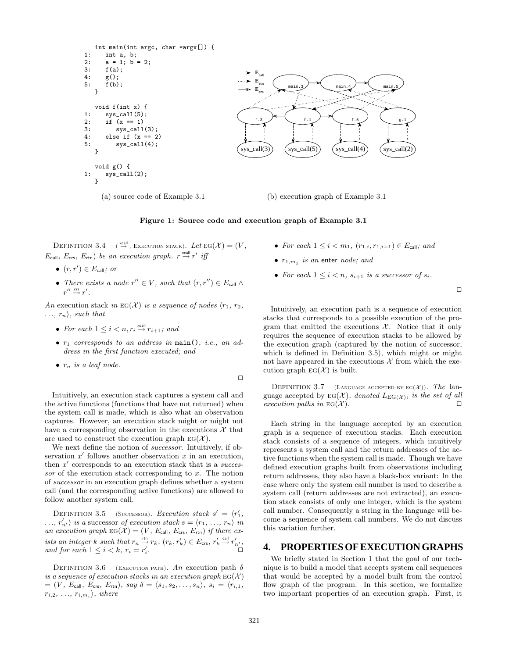

**Figure 1: Source code and execution graph of Example 3.1**

DEFINITION 3.4 ( $\stackrel{\text{scal}}{\rightarrow}$ , Execution stack). Let  $\text{EG}(\mathcal{X})=(V,$  $E_{\text{call}}$ ,  $E_{\text{crs}}$ ,  $E_{\text{rtn}}$ ) be an execution graph.  $r \stackrel{\text{xcall}}{\rightarrow} r'$  iff

- $\bullet$   $(r,r') \in E_{\mathsf{call}};$  or
- There exists a node  $r'' \in V$ , such that  $(r, r'') \in E_{\text{call}} \wedge$  $r'' \stackrel{\mathsf{crs}}{\rightarrow} r'.$

An execution stack in EG(X) is a sequence of nodes  $\langle r_1, r_2, \rangle$  $\ldots, r_n\rangle$ , such that

- For each  $1 \leq i < n, r_i \stackrel{\text{recall}}{\rightarrow} r_{i+1}$ ; and
- $\bullet$   $r_1$  corresponds to an address in main(), i.e., an address in the first function executed; and
- $\bullet$   $r_n$  is a leaf node.

 $\Box$ 

Intuitively, an execution stack captures a system call and the active functions (functions that have not returned) when the system call is made, which is also what an observation captures. However, an execution stack might or might not have a corresponding observation in the executions  $\mathcal X$  that are used to construct the execution graph  $EG(X)$ .

We next define the notion of *successor*. Intuitively, if observation  $x'$  follows another observation  $x$  in an execution, then  $x'$  corresponds to an execution stack that is a *succes*sor of the execution stack corresponding to x. The notion of successor in an execution graph defines whether a system call (and the corresponding active functions) are allowed to follow another system call.

DEFINITION 3.5 (SUCCESSOR). Execution stack  $s' = \langle r'_1,$  $\langle \ldots, r'_{n'} \rangle$  is a successor of execution stack  $s = \langle r_1, \ldots, r_n \rangle$  in an execution graph  $EG(X)=(V, E_{\text{call}}, E_{\text{crs}}, E_{\text{rtn}})$  if there exists an integer k such that  $r_n \stackrel{\text{th}}{\rightarrow} r_k$ ,  $(r_k, r'_k) \in E_{\text{crs}}, r'_k \stackrel{\text{call}}{\rightarrow} r'_{n'}$ , and for each  $1 \leq i < k$ ,  $r_i = r'_i$ .

DEFINITION 3.6 (EXECUTION PATH). An execution path  $\delta$ is a sequence of execution stacks in an execution graph  $EG(X)$  $=(V, E_{\text{call}}, E_{\text{crs}}, E_{\text{rtn}}), \; say \; \delta = \langle s_1, s_2, \ldots, s_n \rangle, \; s_i = \langle r_{i,1}, \rangle$  $r_{i,2}, \ldots, r_{i,m_i} \rangle$ , where

- For each  $1 \le i \le m_1$ ,  $(r_{1,i}, r_{1,i+1}) \in E_{\text{call}}$ ; and
- $r_{1,m_1}$  is an enter node; and
- For each  $1 \leq i \leq n$ ,  $s_{i+1}$  is a successor of  $s_i$ .

 $\Box$ 

Intuitively, an execution path is a sequence of execution stacks that corresponds to a possible execution of the program that emitted the executions  $\mathcal{X}$ . Notice that it only requires the sequence of execution stacks to be allowed by the execution graph (captured by the notion of successor, which is defined in Definition 3.5), which might or might not have appeared in the executions  $\mathcal X$  from which the execution graph  $EG(X)$  is built.

DEFINITION 3.7 (LANGUAGE ACCEPTED BY  $EG(X)$ ). The language accepted by  $EG(\mathcal{X})$ , denoted  $L_{EG(\mathcal{X})}$ , is the set of all execution paths in  $EG(\mathcal{X})$ execution paths in  $EG(X)$ .

Each string in the language accepted by an execution graph is a sequence of execution stacks. Each execution stack consists of a sequence of integers, which intuitively represents a system call and the return addresses of the active functions when the system call is made. Though we have defined execution graphs built from observations including return addresses, they also have a black-box variant: In the case where only the system call number is used to describe a system call (return addresses are not extracted), an execution stack consists of only one integer, which is the system call number. Consequently a string in the language will become a sequence of system call numbers. We do not discuss this variation further.

#### **4. PROPERTIES OF EXECUTION GRAPHS**

We briefly stated in Section 1 that the goal of our technique is to build a model that accepts system call sequences that would be accepted by a model built from the control flow graph of the program. In this section, we formalize two important properties of an execution graph. First, it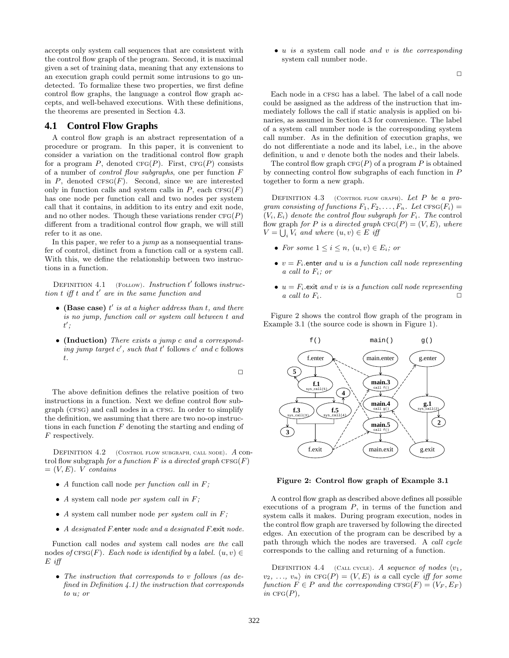accepts only system call sequences that are consistent with the control flow graph of the program. Second, it is maximal given a set of training data, meaning that any extensions to an execution graph could permit some intrusions to go undetected. To formalize these two properties, we first define control flow graphs, the language a control flow graph accepts, and well-behaved executions. With these definitions, the theorems are presented in Section 4.3.

#### **4.1 Control Flow Graphs**

A control flow graph is an abstract representation of a procedure or program. In this paper, it is convenient to consider a variation on the traditional control flow graph for a program P, denoted  $CFG(P)$ . First,  $CFG(P)$  consists of a number of *control flow subgraphs*, one per function  $F$ in  $P$ , denoted  $CFSG(F)$ . Second, since we are interested only in function calls and system calls in  $P$ , each  $CFSG(F)$ has one node per function call and two nodes per system call that it contains, in addition to its entry and exit node, and no other nodes. Though these variations render  $CFG(P)$ different from a traditional control flow graph, we will still refer to it as one.

In this paper, we refer to a jump as a nonsequential transfer of control, distinct from a function call or a system call. With this, we define the relationship between two instructions in a function.

DEFINITION 4.1 (FOLLOW). *Instruction*  $t'$  follows *instruc*tion  $t$  iff  $t$  and  $t'$  are in the same function and

- $\bullet$  (Base case)  $t'$  is at a higher address than t, and there is no jump, function call or system call between t and  $t^{\prime};$
- **(Induction)** There exists a jump c and a corresponding jump target  $c'$ , such that  $t'$  follows  $c'$  and  $c$  follows t.

 $\Box$ 

The above definition defines the relative position of two instructions in a function. Next we define control flow subgraph (CFSG) and call nodes in a CFSG. In order to simplify the definition, we assuming that there are two no-op instructions in each function  $F$  denoting the starting and ending of F respectively.

DEFINITION 4.2 (CONTROL FLOW SUBGRAPH, CALL NODE). A control flow subgraph for a function F is a directed graph  $CFSG(F)$  $=(V,E)$ . V contains

- A function call node *per function call in F*;
- A system call node per system call in  $F$ ;
- A system call number node *per system call in F*;
- A designated F.enter node and a designated F.exit node.

Function call nodes and system call nodes are the call nodes of  $CFSG(F)$ . Each node is identified by a label.  $(u, v) \in$  $E$  iff

• The instruction that corresponds to v follows (as defined in Definition  $(4.1)$  the instruction that corresponds to *u*; *or* 

 $\bullet$  u is a system call node and v is the corresponding system call number node.

 $\Box$ 

Each node in a CFSG has a label. The label of a call node could be assigned as the address of the instruction that immediately follows the call if static analysis is applied on binaries, as assumed in Section 4.3 for convenience. The label of a system call number node is the corresponding system call number. As in the definition of execution graphs, we do not differentiate a node and its label, i.e., in the above definition, u and v denote both the nodes and their labels.

The control flow graph  $CFG(P)$  of a program P is obtained by connecting control flow subgraphs of each function in P together to form a new graph.

DEFINITION  $4.3$  (CONTROL FLOW GRAPH). Let P be a program consisting of functions  $F_1, F_2, \ldots, F_n$ . Let  $CFSG(F_i) =$  $(V_i, E_i)$  denote the control flow subgraph for  $F_i$ . The control flow graph for P is a directed graph  $CFG(P)=(V,E)$ , where  $V = \bigcup_i V_i$  and where  $(u, v) \in E$  iff

- For some  $1 \leq i \leq n$ ,  $(u, v) \in E_i$ ; or
- $v = F_i$  enter and u is a function call node representing a call to  $F_i$ ; or
- $u = F_i$  exit and v is is a function call node representing a call to  $F_i$ .

Figure 2 shows the control flow graph of the program in Example 3.1 (the source code is shown in Figure 1).



**Figure 2: Control flow graph of Example 3.1**

A control flow graph as described above defines all possible executions of a program  $P$ , in terms of the function and system calls it makes. During program execution, nodes in the control flow graph are traversed by following the directed edges. An execution of the program can be described by a path through which the nodes are traversed. A call cycle corresponds to the calling and returning of a function.

DEFINITION 4.4 (CALL CYCLE). A sequence of nodes  $\langle v_1, v_2 \rangle$  $\langle v_2, \ldots, v_n \rangle$  in  $CFG(P)=(V,E)$  is a call cycle iff for some function  $F \in P$  and the corresponding  $CFSG(F)=(V_F , E_F )$ in  $CFG(P)$ ,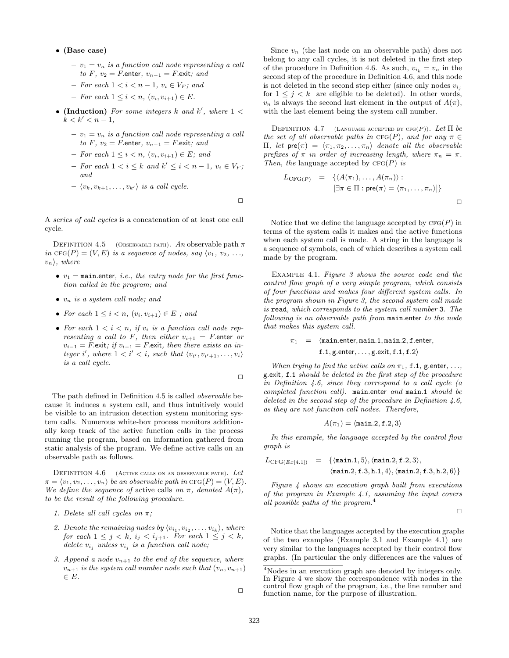- **(Base case)**
	- $v_1 = v_n$  is a function call node representing a call to F,  $v_2 = F$  enter,  $v_{n-1} = F$  exit; and
	- $-$  *For each*  $1 < i < n − 1$ ,  $v_i \in V_F$ ; and
	- $-$  *For each* 1 ≤ *i* < *n*,  $(v_i, v_{i+1})$  ∈ *E*.
- $(Induction)$  For some integers k and k', where  $1 <$  $k < k' < n - 1$ ,
	- $v_1 = v_n$  is a function call node representing a call to F,  $v_2 = F$ . enter,  $v_{n-1} = F$ . exit; and
	- $-$  For each  $1 \leq i \leq n$ ,  $(v_i, v_{i+1}) \in E$ ; and
	- $-$  *For each* 1 < *i* ≤ *k* and *k'* ≤ *i* ≤ *n* − 1, *v<sub>i</sub>* ∈ *V<sub>F</sub>*; and
	- $\langle v_k, v_{k+1}, \ldots, v_{k'} \rangle$  is a call cycle.

 $\Box$ 

A series of call cycles is a concatenation of at least one call cycle.

DEFINITION 4.5 (OBSERVABLE PATH). An observable path  $\pi$ in  $CFG(P)=(V,E)$  is a sequence of nodes, say  $\langle v_1, v_2, \ldots, v_n \rangle$  $\langle v_n \rangle$ , where

- $v_1$  = main.enter, *i.e.*, the entry node for the first function called in the program; and
- $v_n$  is a system call node; and
- For each  $1 \leq i \leq n$ ,  $(v_i, v_{i+1}) \in E$ ; and
- For each  $1 < i < n$ , if  $v_i$  is a function call node representing a call to F, then either  $v_{i+1} = F$  enter or  $v_{i-1} = F$ .exit; if  $v_{i-1} = F$ .exit, then there exists an integer i', where  $1 < i' < i$ , such that  $\langle v_{i'}, v_{i'+1}, \ldots, v_i \rangle$ is a call cycle.

 $\Box$ 

The path defined in Definition 4.5 is called observable because it induces a system call, and thus intuitively would be visible to an intrusion detection system monitoring system calls. Numerous white-box process monitors additionally keep track of the active function calls in the process running the program, based on information gathered from static analysis of the program. We define active calls on an observable path as follows.

DEFINITION  $4.6$  (ACTIVE CALLS ON AN OBSERVABLE PATH). Let  $\pi = \langle v_1, v_2, \ldots, v_n \rangle$  be an observable path in CFG(P) = (V, E). We define the sequence of active calls on  $\pi$ , denoted  $A(\pi)$ , to be the result of the following procedure.

- 1. Delete all call cycles on  $\pi$ ;
- 2. Denote the remaining nodes by  $\langle v_{i_1}, v_{i_2}, \ldots, v_{i_k} \rangle$ , where for each  $1 \leq j \leq k$ ,  $i_j \leq i_{j+1}$ . For each  $1 \leq j \leq k$ , delete  $v_{i_j}$  unless  $v_{i_j}$  is a function call node;
- 3. Append a node  $v_{n+1}$  to the end of the sequence, where  $v_{n+1}$  is the system call number node such that  $(v_n, v_{n+1})$  $\in E$ .

323

Since  $v_n$  (the last node on an observable path) does not belong to any call cycles, it is not deleted in the first step of the procedure in Definition 4.6. As such,  $v_{i_k} = v_n$  in the second step of the procedure in Definition 4.6, and this node is not deleted in the second step either (since only nodes  $v_{i,j}$ ) for  $1 \leq j \leq k$  are eligible to be deleted). In other words,  $v_n$  is always the second last element in the output of  $A(\pi)$ , with the last element being the system call number.

DEFINITION 4.7 (LANGUAGE ACCEPTED BY CFG $(P)$ ). Let  $\Pi$  be the set of all observable paths in  $CFG(P)$ , and for any  $\pi \in$  $\Pi$ , let  $\mathsf{pre}(\pi) = \langle \pi_1, \pi_2, \ldots, \pi_n \rangle$  denote all the observable prefixes of  $\pi$  in order of increasing length, where  $\pi_n = \pi$ . Then, the language accepted by  $CFG(P)$  is

$$
L_{\text{CFG}(P)} = \{ \langle A(\pi_1), \dots, A(\pi_n) \rangle : \\ [\exists \pi \in \Pi : \text{pre}(\pi) = \langle \pi_1, \dots, \pi_n \rangle] \}
$$

Notice that we define the language accepted by  $CFG(P)$  in terms of the system calls it makes and the active functions when each system call is made. A string in the language is a sequence of symbols, each of which describes a system call made by the program.

EXAMPLE 4.1. Figure 3 shows the source code and the control flow graph of a very simple program, which consists of four functions and makes four different system calls. In the program shown in Figure 3, the second system call made is read, which corresponds to the system call number 3. The following is an observable path from main.enter to the node that makes this system call.

# $\pi_1$  =  $\langle \text{main.enter, main.1}, \text{main.2}, \text{f.enter}, \rangle$  $\texttt{f.1}, \texttt{g.enter}, \dots, \texttt{g.exit}, \texttt{f.1}, \texttt{f.2}\rangle$

When trying to find the active calls on  $\pi_1$ , f.1, g.enter, ..., g.exit, f.1 should be deleted in the first step of the procedure in Definition 4.6, since they correspond to a call cycle (a completed function call). main.enter and main.1 should be deleted in the second step of the procedure in Definition 4.6, as they are not function call nodes. Therefore,

$$
A(\pi_1) = \langle \texttt{main.2}, \texttt{f.2}, 3 \rangle
$$

In this example, the language accepted by the control flow graph is

$$
L_{\text{CFG}(Ex[4.1])} = \{ \langle \text{main.1}, 5 \rangle, \langle \text{main.2}, \text{f.2}, 3 \rangle, \\ \langle \text{main.2}, \text{f.3}, \text{h.1}, 4 \rangle, \langle \text{main.2}, \text{f.3}, \text{h.2}, 6 \rangle \}
$$

Figure 4 shows an execution graph built from executions of the program in Example 4.1, assuming the input covers all possible paths of the program.<sup>4</sup>

 $\Box$ 

Notice that the languages accepted by the execution graphs of the two examples (Example 3.1 and Example 4.1) are very similar to the languages accepted by their control flow graphs. (In particular the only differences are the values of

<sup>4</sup>Nodes in an execution graph are denoted by integers only. In Figure 4 we show the correspondence with nodes in the control flow graph of the program, i.e., the line number and function name, for the purpose of illustration.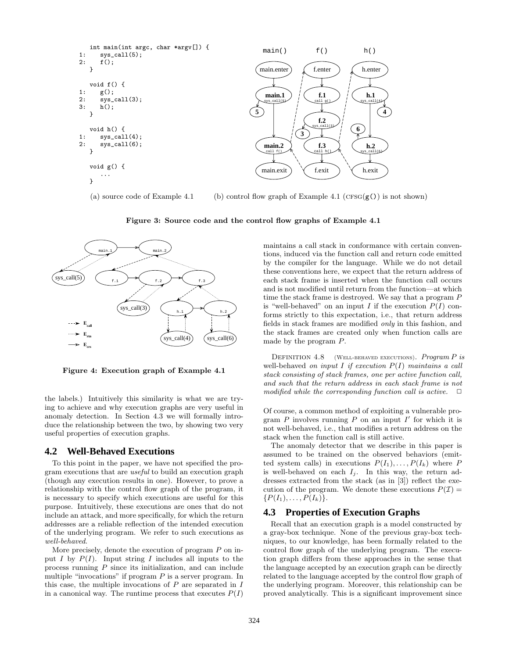

(a) source code of Example 4.1 (b) control flow graph of Example 4.1 ( $CFSG(g()$ ) is not shown)



**Figure 3: Source code and the control flow graphs of Example 4.1**

**Figure 4: Execution graph of Example 4.1**

the labels.) Intuitively this similarity is what we are trying to achieve and why execution graphs are very useful in anomaly detection. In Section 4.3 we will formally introduce the relationship between the two, by showing two very useful properties of execution graphs.

#### **4.2 Well-Behaved Executions**

To this point in the paper, we have not specified the program executions that are useful to build an execution graph (though any execution results in one). However, to prove a relationship with the control flow graph of the program, it is necessary to specify which executions are useful for this purpose. Intuitively, these executions are ones that do not include an attack, and more specifically, for which the return addresses are a reliable reflection of the intended execution of the underlying program. We refer to such executions as well-behaved.

More precisely, denote the execution of program  $P$  on input I by  $P(I)$ . Input string I includes all inputs to the process running P since its initialization, and can include multiple "invocations" if program  $P$  is a server program. In this case, the multiple invocations of  $P$  are separated in  $I$ in a canonical way. The runtime process that executes  $P(I)$  by the compiler for the language. While we do not detail these conventions here, we expect that the return address of each stack frame is inserted when the function call occurs and is not modified until return from the function—at which time the stack frame is destroyed. We say that a program P is "well-behaved" on an input I if the execution  $P(I)$  conforms strictly to this expectation, i.e., that return address fields in stack frames are modified only in this fashion, and the stack frames are created only when function calls are made by the program P.

maintains a call stack in conformance with certain conventions, induced via the function call and return code emitted

DEFINITION  $4.8$  (WELL-BEHAVED EXECUTIONS). Program P is well-behaved on input  $I$  if execution  $P(I)$  maintains a call stack consisting of stack frames, one per active function call, and such that the return address in each stack frame is not modified while the corresponding function call is active.  $\Box$ 

Of course, a common method of exploiting a vulnerable program  $P$  involves running  $P$  on an input  $I'$  for which it is not well-behaved, i.e., that modifies a return address on the stack when the function call is still active.

The anomaly detector that we describe in this paper is assumed to be trained on the observed behaviors (emitted system calls) in executions  $P(I_1),...,P(I_k)$  where P is well-behaved on each  $I_j$ . In this way, the return addresses extracted from the stack (as in [3]) reflect the execution of the program. We denote these executions  $P(\mathcal{I}) =$  $\{P(I_1), \ldots, P(I_k)\}.$ 

# **4.3 Properties of Execution Graphs**

Recall that an execution graph is a model constructed by a gray-box technique. None of the previous gray-box techniques, to our knowledge, has been formally related to the control flow graph of the underlying program. The execution graph differs from these approaches in the sense that the language accepted by an execution graph can be directly related to the language accepted by the control flow graph of the underlying program. Moreover, this relationship can be proved analytically. This is a significant improvement since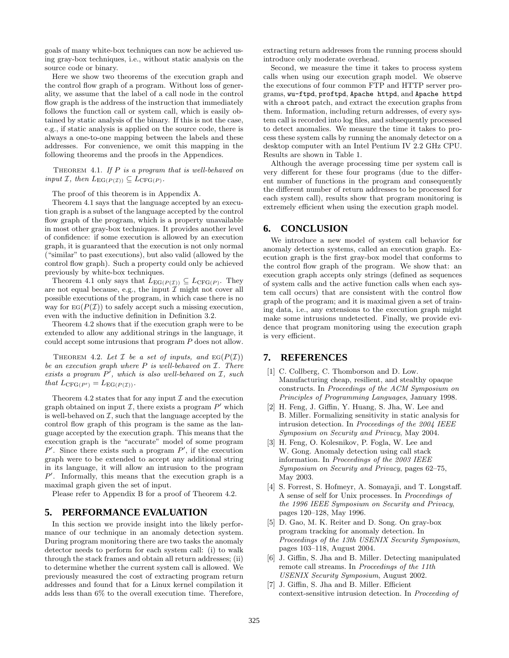goals of many white-box techniques can now be achieved using gray-box techniques, i.e., without static analysis on the source code or binary.

Here we show two theorems of the execution graph and the control flow graph of a program. Without loss of generality, we assume that the label of a call node in the control flow graph is the address of the instruction that immediately follows the function call or system call, which is easily obtained by static analysis of the binary. If this is not the case, e.g., if static analysis is applied on the source code, there is always a one-to-one mapping between the labels and these addresses. For convenience, we omit this mapping in the following theorems and the proofs in the Appendices.

THEOREM 4.1. If  $P$  is a program that is well-behaved on input *I*, then  $L_{\text{EG}(P(\mathcal{I}))} \subseteq L_{\text{CFG}(P)}$ .

The proof of this theorem is in Appendix A.

Theorem 4.1 says that the language accepted by an execution graph is a subset of the language accepted by the control flow graph of the program, which is a property unavailable in most other gray-box techniques. It provides another level of confidence: if some execution is allowed by an execution graph, it is guaranteed that the execution is not only normal ("similar" to past executions), but also valid (allowed by the control flow graph). Such a property could only be achieved previously by white-box techniques.

Theorem 4.1 only says that  $L_{\text{EG}(P(\mathcal{I}))} \subseteq L_{\text{CFG}(P)}$ . They are not equal because, e.g., the input  $\mathcal{I}$  might not cover all possible executions of the program, in which case there is no way for  $EG(P(\mathcal{I}))$  to safely accept such a missing execution, even with the inductive definition in Definition 3.2.

Theorem 4.2 shows that if the execution graph were to be extended to allow any additional strings in the language, it could accept some intrusions that program P does not allow.

THEOREM 4.2. Let  $\mathcal I$  be a set of inputs, and  $EG(P(\mathcal I))$ be an execution graph where  $P$  is well-behaved on  $\mathcal I$ . There exists a program  $P'$ , which is also well-behaved on  $\mathcal{I}$ , such that  $L_{\text{CFG}}(P') = L_{\text{EG}}(P(\mathcal{I}))$ .

Theorem 4.2 states that for any input  $\mathcal I$  and the execution graph obtained on input  $\mathcal{I}$ , there exists a program  $P'$  which is well-behaved on  $I$ , such that the language accepted by the control flow graph of this program is the same as the language accepted by the execution graph. This means that the execution graph is the "accurate" model of some program  $P'$ . Since there exists such a program  $P'$ , if the execution graph were to be extended to accept any additional string in its language, it will allow an intrusion to the program P . Informally, this means that the execution graph is a maximal graph given the set of input.

Please refer to Appendix B for a proof of Theorem 4.2.

### **5. PERFORMANCE EVALUATION**

In this section we provide insight into the likely performance of our technique in an anomaly detection system. During program monitoring there are two tasks the anomaly detector needs to perform for each system call: (i) to walk through the stack frames and obtain all return addresses; (ii) to determine whether the current system call is allowed. We previously measured the cost of extracting program return addresses and found that for a Linux kernel compilation it adds less than 6% to the overall execution time. Therefore, extracting return addresses from the running process should introduce only moderate overhead.

Second, we measure the time it takes to process system calls when using our execution graph model. We observe the executions of four common FTP and HTTP server programs, wu-ftpd, proftpd, Apache httpd, and Apache httpd with a chroot patch, and extract the execution graphs from them. Information, including return addresses, of every system call is recorded into log files, and subsequently processed to detect anomalies. We measure the time it takes to process these system calls by running the anomaly detector on a desktop computer with an Intel Pentium IV 2.2 GHz CPU. Results are shown in Table 1.

Although the average processing time per system call is very different for these four programs (due to the different number of functions in the program and consequently the different number of return addresses to be processed for each system call), results show that program monitoring is extremely efficient when using the execution graph model.

# **6. CONCLUSION**

We introduce a new model of system call behavior for anomaly detection systems, called an execution graph. Execution graph is the first gray-box model that conforms to the control flow graph of the program. We show that: an execution graph accepts only strings (defined as sequences of system calls and the active function calls when each system call occurs) that are consistent with the control flow graph of the program; and it is maximal given a set of training data, i.e., any extensions to the execution graph might make some intrusions undetected. Finally, we provide evidence that program monitoring using the execution graph is very efficient.

#### **7. REFERENCES**

- [1] C. Collberg, C. Thomborson and D. Low. Manufacturing cheap, resilient, and stealthy opaque constructs. In Proceedings of the ACM Symposium on Principles of Programming Languages, January 1998.
- [2] H. Feng, J. Giffin, Y. Huang, S. Jha, W. Lee and B. Miller. Formalizing sensitivity in static analysis for intrusion detection. In Proceedings of the 2004 IEEE Symposium on Security and Privacy, May 2004.
- [3] H. Feng, O. Kolesnikov, P. Fogla, W. Lee and W. Gong. Anomaly detection using call stack information. In Proceedings of the 2003 IEEE Symposium on Security and Privacy, pages 62–75, May 2003.
- [4] S. Forrest, S. Hofmeyr, A. Somayaji, and T. Longstaff. A sense of self for Unix processes. In Proceedings of the 1996 IEEE Symposium on Security and Privacy, pages 120–128, May 1996.
- [5] D. Gao, M. K. Reiter and D. Song. On gray-box program tracking for anomaly detection. In Proceedings of the 13th USENIX Security Symposium, pages 103–118, August 2004.
- [6] J. Giffin, S. Jha and B. Miller. Detecting manipulated remote call streams. In Proceedings of the 11th USENIX Security Symposium, August 2002.
- [7] J. Giffin, S. Jha and B. Miller. Efficient context-sensitive intrusion detection. In Proceeding of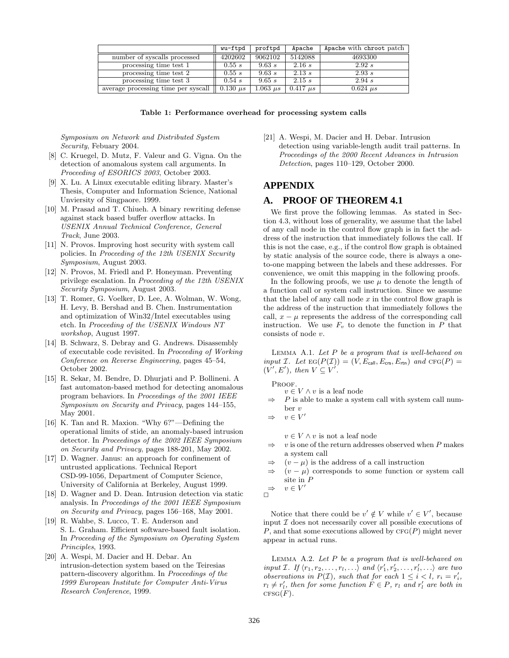|                                     | wu-ftpd          | proftpd          | Apache          | Apache with chroot patch |
|-------------------------------------|------------------|------------------|-----------------|--------------------------|
| number of syscalls processed        | 4202602          | 9062102          | 5142088         | 4693300                  |
| processing time test 1              | 0.55 s           | 9.63s            | 2.16s           | 2.92s                    |
| processing time test 2              | 0.55 s           | 9.63s            | 2.13s           | 2.93s                    |
| processing time test 3              | 0.54 s           | 9.65 s           | 2.15 s          | 2.94 s                   |
| average processing time per syscall | $0.130 \; \mu s$ | $1.063 \; \mu s$ | $0.417$ $\mu s$ | $0.624$ $\mu s$          |

**Table 1: Performance overhead for processing system calls**

Symposium on Network and Distributed System Security, Febuary 2004.

- [8] C. Kruegel, D. Mutz, F. Valeur and G. Vigna. On the detection of anomalous system call arguments. In Proceeding of ESORICS 2003, October 2003.
- [9] X. Lu. A Linux executable editing library. Master's Thesis, Computer and Information Science, National Unviersity of Singpaore. 1999.
- [10] M. Prasad and T. Chiueh. A binary rewriting defense against stack based buffer overflow attacks. In USENIX Annual Technical Conference, General Track, June 2003.
- [11] N. Provos. Improving host security with system call policies. In Proceeding of the 12th USENIX Security Symposium, August 2003.
- [12] N. Provos, M. Friedl and P. Honeyman. Preventing privilege escalation. In Proceeding of the 12th USENIX Security Symposium, August 2003.
- [13] T. Romer, G. Voelker, D. Lee, A. Wolman, W. Wong, H. Levy, B. Bershad and B. Chen. Instrumentation and optimization of Win32/Intel executables using etch. In Proceeding of the USENIX Windows NT workshop, August 1997.
- [14] B. Schwarz, S. Debray and G. Andrews. Disassembly of executable code revisited. In Proceeding of Working Conference on Reverse Engineering, pages 45–54, October 2002.
- [15] R. Sekar, M. Bendre, D. Dhurjati and P. Bollineni. A fast automaton-based method for detecting anomalous program behaviors. In Proceedings of the 2001 IEEE Symposium on Security and Privacy, pages 144–155, May 2001.
- [16] K. Tan and R. Maxion. "Why 6?"—Defining the operational limits of stide, an anomaly-based intrusion detector. In Proceedings of the 2002 IEEE Symposium on Security and Privacy, pages 188-201, May 2002.
- [17] D. Wagner. Janus: an approach for confinement of untrusted applications. Technical Report CSD-99-1056, Department of Computer Science, University of California at Berkeley, August 1999.
- [18] D. Wagner and D. Dean. Intrusion detection via static analysis. In Proceedings of the 2001 IEEE Symposium on Security and Privacy, pages 156–168, May 2001.
- [19] R. Wahbe, S. Lucco, T. E. Anderson and S. L. Graham. Efficient software-based fault isolation. In Proceeding of the Symposium on Operating System Principles, 1993.
- [20] A. Wespi, M. Dacier and H. Debar. An intrusion-detection system based on the Teiresias pattern-discovery algorithm. In Proceedings of the 1999 European Institute for Computer Anti-Virus Research Conference, 1999.

[21] A. Wespi, M. Dacier and H. Debar. Intrusion detection using variable-length audit trail patterns. In Proceedings of the 2000 Recent Advances in Intrusion Detection, pages 110–129, October 2000.

# **APPENDIX**

# **A. PROOF OF THEOREM 4.1**

We first prove the following lemmas. As stated in Section 4.3, without loss of generality, we assume that the label of any call node in the control flow graph is in fact the address of the instruction that immediately follows the call. If this is not the case, e.g., if the control flow graph is obtained by static analysis of the source code, there is always a oneto-one mapping between the labels and these addresses. For convenience, we omit this mapping in the following proofs.

In the following proofs, we use  $\mu$  to denote the length of a function call or system call instruction. Since we assume that the label of any call node  $x$  in the control flow graph is the address of the instruction that immediately follows the call,  $x - \mu$  represents the address of the corresponding call instruction. We use  $F_v$  to denote the function in  $P$  that consists of node v.

LEMMA A.1. Let  $P$  be a program that is well-behaved on input I. Let  $EG(P(\mathcal{I})) = (V, E_{\text{call}}, E_{\text{crs}}, E_{\text{rtn}})$  and  $CFG(P) =$  $(V', E'), \text{ then } V \subseteq V'.$ 

PROOF.

 $v \in V \wedge v$  is a leaf node

- $\Rightarrow$  P is able to make a system call with system call number v
- $\Rightarrow v \in V'$

 $v \in V \wedge v$  is not a leaf node

- $\Rightarrow$  v is one of the return addresses observed when P makes a system call
- $\Rightarrow$   $(v \mu)$  is the address of a call instruction
- $\Rightarrow$  (v  $\mu$ ) corresponds to some function or system call site in P
- $v \in V'$  $\Rightarrow$

Notice that there could be  $v' \notin V$  while  $v' \in V'$ , because input  $\mathcal I$  does not necessarily cover all possible executions of P, and that some executions allowed by  $CFG(P)$  might never appear in actual runs.

LEMMA A.2. Let  $P$  be a program that is well-behaved on input *I*. If  $\langle r_1, r_2, \ldots, r_l, \ldots \rangle$  and  $\langle r'_1, r'_2, \ldots, r'_l, \ldots \rangle$  are two observations in  $P(\mathcal{I})$ , such that for each  $1 \leq i < l$ ,  $r_i = r'_i$ ,  $r_l \neq r'_l$ , then for some function  $F \in P$ ,  $r_l$  and  $r'_l$  are both in  $CFSG(F)$ .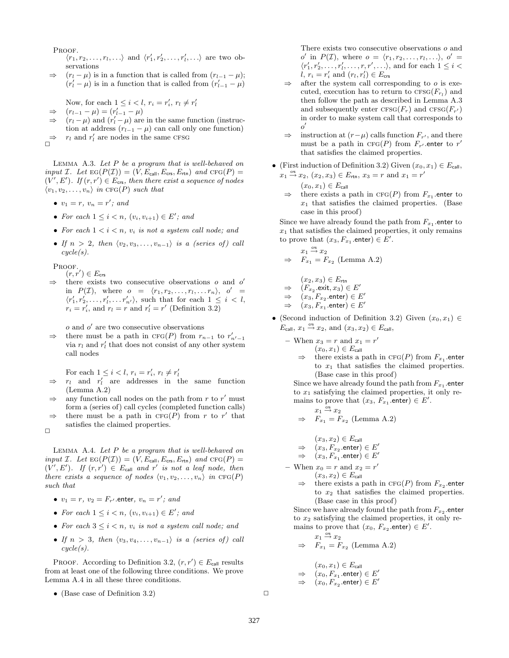PROOF.

 $\langle r_1, r_2, \ldots, r_l, \ldots \rangle$  and  $\langle r'_1, r'_2, \ldots, r'_l, \ldots \rangle$  are two observations

 $\Rightarrow$   $(r_l - \mu)$  is in a function that is called from  $(r_{l-1} - \mu);$  $(r'_{l} - \mu)$  is in a function that is called from  $(r'_{l-1} - \mu)$ 

Now, for each  $1 \leq i < l$ ,  $r_i = r'_i$ ,  $r_l \neq r'_l$ 

- $\Rightarrow$   $(r_{l-1} \mu) = (r'_{l-1} \mu)$
- $\Rightarrow$   $(r_l \mu)$  and  $(r'_l \mu)$  are in the same function (instruction at address  $(r_{l-1} - \mu)$  can call only one function)  $\Rightarrow$   $r_l$  and  $r'_l$  are nodes in the same CFSG

 $\Rightarrow$ 

LEMMA A.3. Let  $P$  be a program that is well-behaved on input  $\mathcal I$ . Let  $\text{EG}(P(\mathcal I)) = (V, E_{\text{call}}, E_{\text{crs}}, E_{\text{rtn}})$  and  $\text{CFG}(P) =$  $(V', E')$ . If  $(r, r') \in E_{\text{crs}}$ , then there exist a sequence of nodes  $\langle v_1, v_2, \ldots, v_n \rangle$  in CFG(P) such that

- $v_1 = r, v_n = r'$ ; and
- For each  $1 \leq i < n$ ,  $(v_i, v_{i+1}) \in E'$ ; and
- For each  $1 \leq i \leq n$ ,  $v_i$  is not a system call node; and
- If  $n > 2$ , then  $\langle v_2, v_3, \ldots, v_{n-1} \rangle$  is a (series of) call  $cycle(s).$

PROOF.

 $(r,r')\in E_{\mathsf{crs}}$ 

there exists two consecutive observations  $o$  and  $o'$ in  $P(\mathcal{I})$ , where  $o = \langle r_1, r_2, \ldots, r_l, \ldots r_n \rangle$ ,  $o' =$  $\langle r'_1, r'_2, \ldots, r'_l, \ldots, r'_{n'} \rangle$ , such that for each  $1 \leq i \leq l$ ,  $r_i = r'_i$ , and  $r_l = r$  and  $r'_l = r'$  (Definition 3.2)

 $o$  and  $o'$  are two consecutive observations

 $\Rightarrow$  there must be a path in CFG(P) from  $r_{n-1}$  to  $r'_{n'-1}$ via  $r_l$  and  $r'_l$  that does not consist of any other system call nodes

- For each  $1 \leq i < l$ ,  $r_i = r'_i$ ,  $r_l \neq r'_l$ <br>  $\Rightarrow$   $r_l$  and  $r'_l$  are addresses in the same function (Lemma A.2)
- $\Rightarrow$  any function call nodes on the path from r to r' must form a (series of) call cycles (completed function calls)
- $\Rightarrow$  there must be a path in CFG(P) from r to r' that satisfies the claimed properties.

 $\Box$ 

LEMMA A.4. Let  $P$  be a program that is well-behaved on input *I*. Let  $EG(P(\mathcal{I})) = (V, E_{\text{call}}, E_{\text{crs}}, E_{\text{rtn}})$  and  $CFG(P) =$  $(V', E')$ . If  $(r, r') \in E_{\text{call}}$  and r' is not a leaf node, then there exists a sequence of nodes  $\langle v_1, v_2, \ldots, v_n \rangle$  in CFG(P) such that

- $\bullet$   $v_1 = r, v_2 = F_{r'}$ .enter,  $v_n = r'$ ; and
- For each  $1 \leq i < n$ ,  $(v_i, v_{i+1}) \in E'$ ; and
- For each  $3 \leq i \leq n$ ,  $v_i$  is not a system call node; and
- If  $n > 3$ , then  $\langle v_3, v_4, \ldots, v_{n-1} \rangle$  is a (series of) call  $cycle(s).$

PROOF. According to Definition 3.2,  $(r, r') \in E_{\text{call}}$  results from at least one of the following three conditions. We prove Lemma A.4 in all these three conditions.

• (Base case of Definition 3.2)

There exists two consecutive observations o and  $o'$  in  $P(\mathcal{I})$ , where  $o = \langle r_1, r_2, \ldots, r_l, \ldots \rangle$ ,  $o' =$  $\langle r_1', r_2', \ldots, r_i', \ldots, r, r', \ldots \rangle$ , and for each  $1 \leq i <$  $l, r_i = r'_i \text{ and } (r_l, r'_l) \in E_{\text{crs}}$ 

- after the system call corresponding to  $o$  is executed, execution has to return to  $CFSG(F_{r_l})$  and then follow the path as described in Lemma A.3 and subsequently enter  $CFSG(F_r)$  and  $CFSG(F_{r'})$ in order to make system call that corresponds to  $\boldsymbol{o}'$
- $\Rightarrow$  instruction at  $(r-\mu)$  calls function  $F_{r'}$ , and there must be a path in  $CFG(P)$  from  $F_{r'}$  enter to r' that satisfies the claimed properties.
- (First induction of Definition 3.2) Given  $(x_0, x_1) \in E_{\text{call}}$ ,

$$
x_1 \stackrel{\text{crs}}{\rightarrow} x_2, (x_2, x_3) \in E_{\text{rtn}}, x_3 = r \text{ and } x_1 = r'
$$

$$
(x_0, x_1) \in E_{\text{call}}
$$

there exists a path in  $CFG(P)$  from  $F_{x_1}$  enter to  $x_1$  that satisfies the claimed properties. (Base case in this proof)

Since we have already found the path from  $F_{x_1}$  enter to  $x_1$  that satisfies the claimed properties, it only remains to prove that  $(x_3, F_{x_1}$  enter)  $\in E'.$ 

$$
\Rightarrow \quad \begin{array}{c} x_1 \stackrel{\text{crs}}{\to} x_2 \\ F_{x_1} = F_{x_2} \text{ (Lemma A.2)} \end{array}
$$

 $(x_2, x_3) \in E_{\text{rtn}}$  $\Rightarrow$   $(F_{x_2}.\text{exit}, x_3) \in E$  $\Rightarrow$   $(x_3, F_{x_2}.$ enter $) \in E'$  $\Rightarrow$   $(x_3, F_{x_1}$ .enter)  $\in E'$ 

• (Second induction of Definition 3.2) Given  $(x_0, x_1) \in$  $E_{\text{call}}$ ,  $x_1 \stackrel{\text{crs}}{\rightarrow} x_2$ , and  $(x_3, x_2) \in E_{\text{call}}$ ,

- When 
$$
x_3 = r
$$
 and  $x_1 = r'$   
\n $(x_0, x_1) \in E_{\text{call}}$ 

 $\Rightarrow$  there exists a path in CFG(P) from  $F_{x_1}$  enter to  $x_1$  that satisfies the claimed properties. (Base case in this proof)

Since we have already found the path from  $F_{x_1}$  enter to  $x_1$  satisfying the claimed properties, it only remains to prove that  $(x_3, F_{x_1}.\mathsf{enter}) \in E'.$ 

$$
\Rightarrow \quad \begin{array}{c} x_1 \stackrel{\text{crs}}{\rightarrow} x_2 \\ F_{x_1} = F_{x_2} \text{ (Lemma A.2)} \end{array}
$$

$$
(x_3, x_2) \in E_{\text{call}}
$$
  
\n
$$
\Rightarrow \quad (x_3, F_{x_2}.\text{enter}) \in E'
$$

$$
\Rightarrow (x_3, F_{x_1}.\text{enter}) \in E'
$$

- When  $x_0 = r$  and  $x_2 = r'$  $(x_3, x_2) \in E_{\text{call}}$ 
	- $\Rightarrow$  there exists a path in CFG(P) from  $F_{x_2}$  enter to  $x_2$  that satisfies the claimed properties. (Base case in this proof)

Since we have already found the path from  $F_{x_2}$  enter to  $x_2$  satisfying the claimed properties, it only remains to prove that  $(x_0, F_{x_2}.\mathsf{enter}) \in E'.$ 

$$
\Rightarrow \quad \begin{array}{c} x_1 \stackrel{\text{cs}}{\rightarrow} x_2 \\ F_{x_1} = F_{x_2} \text{ (Lemma A.2)} \end{array}
$$

$$
(x_0, x_1) \in E_{\text{call}}
$$
  
\n
$$
\Rightarrow \quad (x_0, F_{x_1}.\text{enter}) \in E'
$$

 $\Rightarrow$   $(x_0, F_{x_2}.$ enter $) \in E'$ 

 $\Box$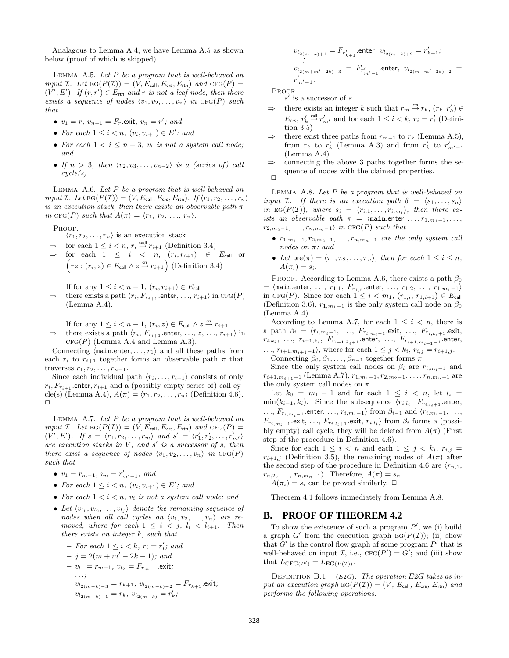Analagous to Lemma A.4, we have Lemma A.5 as shown below (proof of which is skipped).

Lemma A.5. Let P be a program that is well-behaved on input I. Let  $\text{EG}(P(\mathcal{I})) = (V, E_{\text{call}}, E_{\text{crs}}, E_{\text{rtn}})$  and  $\text{CFG}(P) =$  $(V', E')$ . If  $(r, r') \in E_{\text{rtn}}$  and r is not a leaf node, then there exists a sequence of nodes  $\langle v_1, v_2, \ldots, v_n \rangle$  in CFG(P) such that

- $v_1 = r$ ,  $v_{n-1} = F_r$ . exit,  $v_n = r'$ ; and
- For each  $1 \leq i < n$ ,  $(v_i, v_{i+1}) \in E'$ ; and
- For each  $1 \leq i \leq n-3$ ,  $v_i$  is not a system call node; and
- If  $n > 3$ , then  $\langle v_2, v_3, \ldots, v_{n-2} \rangle$  is a (series of) call  $cycle(s).$

LEMMA A.6. Let  $P$  be a program that is well-behaved on input *I*. Let  $EG(P(\mathcal{I})) = (V, E_{\text{call}}, E_{\text{crs}}, E_{\text{rtn}})$ . If  $\langle r_1, r_2, \ldots, r_n \rangle$ is an execution stack, then there exists an observable path  $\pi$ in CFG(P) such that  $A(\pi) = \langle r_1, r_2, \ldots, r_n \rangle$ .

PROOF.

 $\langle r_1, r_2, \ldots, r_n \rangle$  is an execution stack

- $\Rightarrow$  for each  $1 \leq i < n$ ,  $r_i \stackrel{\text{xcall}}{\rightarrow} r_{i+1}$  (Definition 3.4)
- for each  $1 \leq i \leq n$ ,  $(r_i, r_{i+1}) \in E_{\text{call}}$  or  $\left(\exists z : (r_i, z) \in E_{\text{call}} \land z \stackrel{\text{crs}}{\rightarrow} r_{i+1}\right)$  (Definition 3.4)

If for any  $1 \leq i < n - 1$ ,  $(r_i, r_{i+1}) \in E_{\text{call}}$ 

 $\Rightarrow$  there exists a path  $\langle r_i, F_{r_{i+1}}$  enter, ...,  $r_{i+1} \rangle$  in CFG(P) (Lemma A.4).

If for any 
$$
1 \leq i < n-1
$$
,  $(r_i, z) \in E_{\text{call}} \land z \stackrel{\text{crs}}{\rightarrow} r_{i+1}$ 

 $\Rightarrow$  there exists a path  $\langle r_i, F_{r_{i+1}}.$ enter, ...,  $z, ..., r_{i+1} \rangle$  in  $CFG(P)$  (Lemma A.4 and Lemma A.3).

Connecting  $\langle \text{main.enter}, \ldots, r_1 \rangle$  and all these paths from each  $r_i$  to  $r_{i+1}$  together forms an observable path  $\pi$  that traverses  $r_1, r_2, \ldots, r_{n-1}$ .

Since each individual path  $\langle r_i, \ldots, r_{i+1} \rangle$  consists of only  $r_i, F_{r_{i+1}}$  enter,  $r_{i+1}$  and a (possibly empty series of) call cycle(s) (Lemma A.4),  $A(\pi) = \langle r_1, r_2, \ldots, r_n \rangle$  (Definition 4.6).  $\Box$ 

LEMMA A.7. Let  $P$  be a program that is well-behaved on input *I*. Let  $EG(P(\mathcal{I})) = (V, E_{\text{call}}, E_{\text{crs}}, E_{\text{rtn}})$  and  $CFG(P) =$  $(V', E')$ . If  $s = \langle r_1, r_2, \ldots, r_m \rangle$  and  $s' = \langle r'_1, r'_2, \ldots, r'_{m'} \rangle$ are execution stacks in V, and s' is a successor of s, then there exist a sequence of nodes  $\langle v_1, v_2, \ldots, v_n \rangle$  in CFG(P) such that

- $v_1 = r_{m-1}, v_n = r'_{m'-1};$  and
- For each  $1 \leq i < n$ ,  $(v_i, v_{i+1}) \in E'$ ; and
- For each  $1 < i < n$ ,  $v_i$  is not a system call node; and
- Let  $\langle v_{l_1}, v_{l_2}, \ldots, v_{l_j} \rangle$  denote the remaining sequence of nodes when all call cycles on  $\langle v_1, v_2, \ldots, v_n \rangle$  are removed, where for each  $1 \leq i \leq j$ ,  $l_i \leq l_{i+1}$ . Then there exists an integer k, such that

- For each 
$$
1 \le i < k
$$
,  $r_i = r'_i$ ; and  
\n-  $j = 2(m + m' - 2k - 1)$ ; and  
\n-  $v_{l_1} = r_{m-1}$ ,  $v_{l_2} = F_{r_{m-1}}$ . exit;  
\n...;  
\n $v_{l_{2(m-k)-3}} = r_{k+1}$ ,  $v_{l_{2(m-k)-2}} = F_{r_{k+1}}$ . exit;  
\n $v_{l_{2(m-k)-1}} = r_k$ ,  $v_{l_{2(m-k)}} = r'_k$ ;

$$
\begin{aligned} v_{l_{2(m-k)+1}} &= F_{r'_{k+1}}.\text{enter, } v_{l_{2(m-k)+2}} = r'_{k+1};\\ \cdots;\\ v_{l_{2(m+m'-2k)-3}} &= F_{r'_{m'-1}}.\text{enter, } v_{l_{2(m+m'-2k)-2}} = r'_{m'-1}. \end{aligned}
$$

PROOF.

 $s'$  is a successor of s

- $\Rightarrow$  there exists an integer k such that  $r_m \stackrel{\text{th}}{\rightarrow} r_k$ ,  $(r_k, r'_k) \in$  $E_{\text{crs}}, r'_k \stackrel{\text{call}}{\rightarrow} r'_{m'}$  and for each  $1 \leq i < k, r_i = r'_i$  (Definition 3.5)
- $\Rightarrow$  there exist three paths from  $r_{m-1}$  to  $r_k$  (Lemma A.5), from  $r_k$  to  $r'_k$  (Lemma A.3) and from  $r'_k$  to  $r'_{m'-1}$ (Lemma A.4)
- ⇒ connecting the above 3 paths together forms the sequence of nodes with the claimed properties.  $\Box$

LEMMA A.8. Let  $P$  be a program that is well-behaved on input *I*. If there is an execution path  $\delta = \langle s_1, \ldots, s_n \rangle$ in  $EG(P(\mathcal{I}))$ , where  $s_i = \langle r_{i,1}, \ldots, r_{i,m_i} \rangle$ , then there exists an observable path  $\pi = \{$ main.enter,..., $r_{1,m_1-1}, \ldots,$  $r_{2,m_2-1},\ldots,r_{n,m_n-1}$  in  $CFG(P)$  such that

- $r_{1,m_1-1}, r_{2,m_2-1}, \ldots, r_{n,m_n-1}$  are the only system call nodes on  $\pi$ ; and
- Let  $pre(\pi) = \langle \pi_1, \pi_2, \ldots, \pi_n \rangle$ , then for each  $1 \leq i \leq n$ ,  $A(\pi_i) = s_i.$

PROOF. According to Lemma A.6, there exists a path  $\beta_0$  $=$   $\langle \texttt{main.enter}, \ldots, r_{1,1}, F_{r_{1,2}}.\texttt{enter}, \ldots, r_{1,2}, \ldots, r_{1,m_1-1} \rangle$ in  $CFG(P)$ . Since for each  $1 \leq i \leq m_1$ ,  $(r_{1,i}, r_{1,i+1}) \in E_{\text{call}}$ (Definition 3.6),  $r_{1,m_1-1}$  is the only system call node on  $\beta_0$ (Lemma A.4).

According to Lemma A.7, for each  $1 \leq i \leq n$ , there is a path  $\beta_i = \langle r_{i,m_i-1}, \ldots, F_{r_{i,m_i-1}}$  exit, ...,  $F_{r_{i,k_i+1}}$  exit,  $r_{i,k_i}, \ldots, r_{i+1,k_i}, F_{r_{i+1,k_i+1}}$  enter,  $\ldots, F_{r_{i+1,m_{i+1}-1}}$  enter, ...,  $r_{i+1,m_{i+1}-1}$ , where for each  $1 \leq j < k_i$ ,  $r_{i,j} = r_{i+1,j}$ .

Connecting  $\beta_0, \beta_1, \ldots, \beta_{n-1}$  together forms  $\pi$ .

Since the only system call nodes on  $\beta_i$  are  $r_{i,m_i-1}$  and  $r_{i+1,m_{i+1}-1}$  (Lemma A.7),  $r_{1,m_1-1}, r_{2,m_2-1}, \ldots, r_{n,m_n-1}$  are the only system call nodes on  $\pi$ .

Let  $k_0 = m_1 - 1$  and for each  $1 \leq i \leq n$ , let  $l_i =$ min( $k_{i-1}, k_i$ ). Since the subsequence  $\langle r_{i,l_i}, F_{r_{i,l_i+1}}$  enter, ...,  $F_{r_{i,m_i-1}}$  enter, ...,  $r_{i,m_i-1}$ } from  $\beta_{i-1}$  and  $\langle r_{i,m_i-1}, \ldots,$  $F_{r_{i,m_i-1}}$  exit, ...,  $F_{r_{i,l_i+1}}$  exit,  $r_{i,l_i}$  from  $\beta_i$  forms a (possibly empty) call cycle, they will be deleted from  $A(\pi)$  (First step of the procedure in Definition 4.6).

Since for each  $1 \leq i < n$  and each  $1 \leq j < k_i$ ,  $r_{i,j}$  =  $r_{i+1,j}$  (Definition 3.5), the remaining nodes of  $A(\pi)$  after the second step of the procedure in Definition 4.6 are  $\langle r_{n,1},\rangle$  $r_{n,2}, \ldots, r_{n,m_n-1}$ . Therefore,  $A(\pi) = s_n$ .

 $A(\pi_i) = s_i$  can be proved similarly.  $\Box$ 

Theorem 4.1 follows immediately from Lemma A.8.

### **B. PROOF OF THEOREM 4.2**

To show the existence of such a program  $P'$ , we (i) build a graph G' from the execution graph  $EG(P(\mathcal{I}))$ ; (ii) show that  $G'$  is the control flow graph of some program  $P'$  that is well-behaved on input  $\mathcal{I}$ , i.e.,  $CFG(P') = G'$ ; and (iii) show that  $L_{\text{CFG}(P')} = L_{\text{EG}(P(\mathcal{I}))}$ .

DEFINITION B.1 (*E*2*G*). The operation E2*G* takes as input an execution graph  $EG(P(\mathcal{I})) = (V, E_{\text{call}}, E_{\text{crs}}, E_{\text{rtn}})$  and performs the following operations: